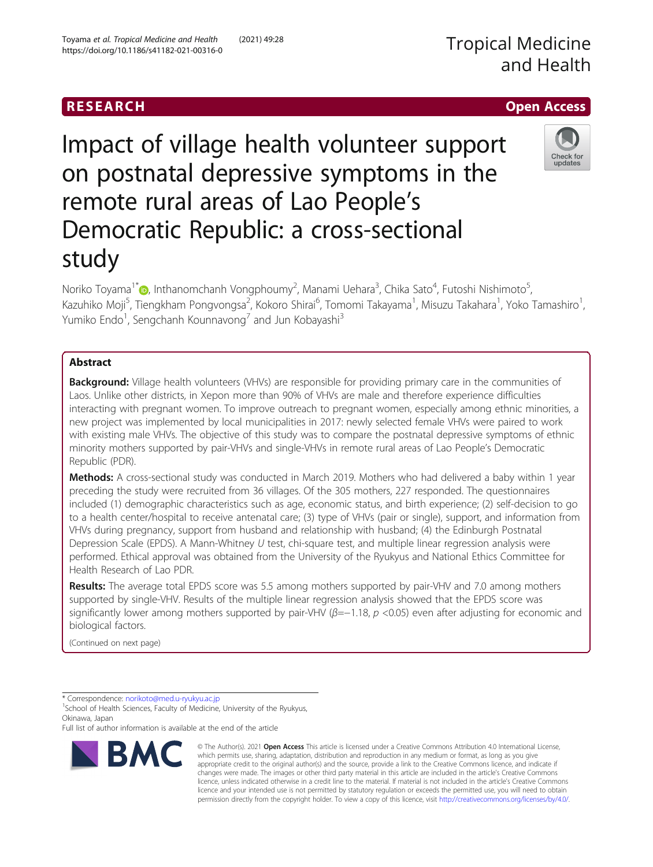Impact of village health volunteer support on postnatal depressive symptoms in the remote rural areas of Lao People's Democratic Republic: a cross-sectional study

Noriko Toyama<sup>1\*</sup>�, Inthanomchanh Vongphoumy<sup>2</sup>, Manami Uehara<sup>3</sup>, Chika Sato<sup>4</sup>, Futoshi Nishimoto<sup>5</sup> , Kazuhiko Moji<sup>5</sup>, Tiengkham Pongvongsa<sup>2</sup>, Kokoro Shirai<sup>6</sup>, Tomomi Takayama<sup>1</sup>, Misuzu Takahara<sup>1</sup>, Yoko Tamashiro<sup>1</sup> , Yumiko Endo<sup>1</sup>, Sengchanh Kounnavong<sup>7</sup> and Jun Kobayashi<sup>3</sup>

# Abstract

Background: Village health volunteers (VHVs) are responsible for providing primary care in the communities of Laos. Unlike other districts, in Xepon more than 90% of VHVs are male and therefore experience difficulties interacting with pregnant women. To improve outreach to pregnant women, especially among ethnic minorities, a new project was implemented by local municipalities in 2017: newly selected female VHVs were paired to work with existing male VHVs. The objective of this study was to compare the postnatal depressive symptoms of ethnic minority mothers supported by pair-VHVs and single-VHVs in remote rural areas of Lao People's Democratic Republic (PDR).

Methods: A cross-sectional study was conducted in March 2019. Mothers who had delivered a baby within 1 year preceding the study were recruited from 36 villages. Of the 305 mothers, 227 responded. The questionnaires included (1) demographic characteristics such as age, economic status, and birth experience; (2) self-decision to go to a health center/hospital to receive antenatal care; (3) type of VHVs (pair or single), support, and information from VHVs during pregnancy, support from husband and relationship with husband; (4) the Edinburgh Postnatal Depression Scale (EPDS). A Mann-Whitney U test, chi-square test, and multiple linear regression analysis were performed. Ethical approval was obtained from the University of the Ryukyus and National Ethics Committee for Health Research of Lao PDR.

Results: The average total EPDS score was 5.5 among mothers supported by pair-VHV and 7.0 among mothers supported by single-VHV. Results of the multiple linear regression analysis showed that the EPDS score was significantly lower among mothers supported by pair-VHV ( $\beta$ =−1.18, p <0.05) even after adjusting for economic and biological factors.

(Continued on next page)

\* Correspondence: [norikoto@med.u-ryukyu.ac.jp](mailto:norikoto@med.u-ryukyu.ac.jp) <sup>1</sup>

**BMC** 

<sup>1</sup> School of Health Sciences, Faculty of Medicine, University of the Ryukyus, Okinawa, Japan

Full list of author information is available at the end of the article







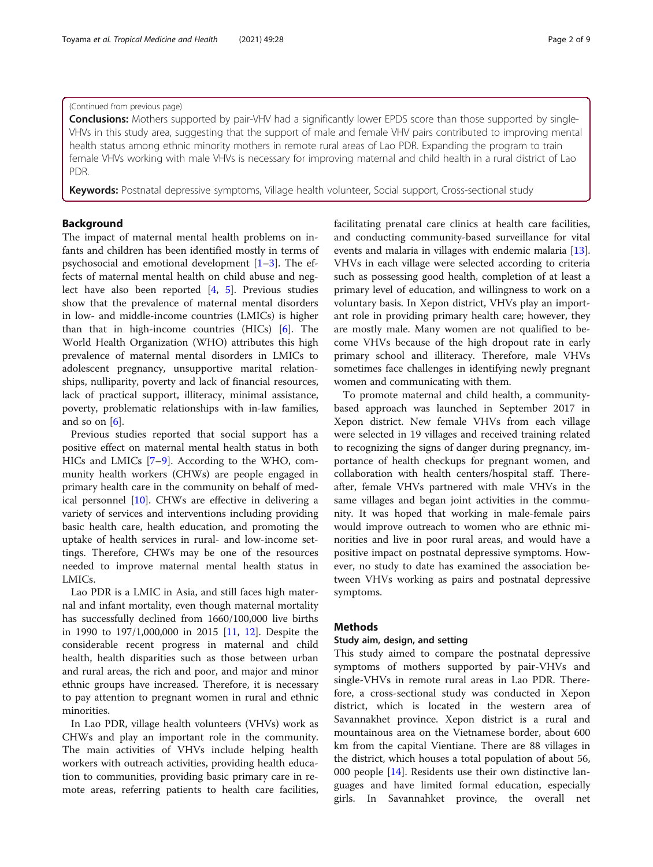### (Continued from previous page)

**Conclusions:** Mothers supported by pair-VHV had a significantly lower EPDS score than those supported by single-VHVs in this study area, suggesting that the support of male and female VHV pairs contributed to improving mental health status among ethnic minority mothers in remote rural areas of Lao PDR. Expanding the program to train female VHVs working with male VHVs is necessary for improving maternal and child health in a rural district of Lao PDR.

Keywords: Postnatal depressive symptoms, Village health volunteer, Social support, Cross-sectional study

# Background

The impact of maternal mental health problems on infants and children has been identified mostly in terms of psychosocial and emotional development  $[1-3]$  $[1-3]$  $[1-3]$  $[1-3]$  $[1-3]$ . The effects of maternal mental health on child abuse and neglect have also been reported [\[4](#page-8-0), [5](#page-8-0)]. Previous studies show that the prevalence of maternal mental disorders in low- and middle-income countries (LMICs) is higher than that in high-income countries (HICs) [[6\]](#page-8-0). The World Health Organization (WHO) attributes this high prevalence of maternal mental disorders in LMICs to adolescent pregnancy, unsupportive marital relationships, nulliparity, poverty and lack of financial resources, lack of practical support, illiteracy, minimal assistance, poverty, problematic relationships with in-law families, and so on  $[6]$  $[6]$ .

Previous studies reported that social support has a positive effect on maternal mental health status in both HICs and LMICs [[7](#page-8-0)–[9\]](#page-8-0). According to the WHO, community health workers (CHWs) are people engaged in primary health care in the community on behalf of medical personnel [[10](#page-8-0)]. CHWs are effective in delivering a variety of services and interventions including providing basic health care, health education, and promoting the uptake of health services in rural- and low-income settings. Therefore, CHWs may be one of the resources needed to improve maternal mental health status in LMICs.

Lao PDR is a LMIC in Asia, and still faces high maternal and infant mortality, even though maternal mortality has successfully declined from 1660/100,000 live births in 1990 to 197/1,000,000 in 2015 [[11,](#page-8-0) [12\]](#page-8-0). Despite the considerable recent progress in maternal and child health, health disparities such as those between urban and rural areas, the rich and poor, and major and minor ethnic groups have increased. Therefore, it is necessary to pay attention to pregnant women in rural and ethnic minorities.

In Lao PDR, village health volunteers (VHVs) work as CHWs and play an important role in the community. The main activities of VHVs include helping health workers with outreach activities, providing health education to communities, providing basic primary care in remote areas, referring patients to health care facilities, facilitating prenatal care clinics at health care facilities, and conducting community-based surveillance for vital events and malaria in villages with endemic malaria [\[13](#page-8-0)]. VHVs in each village were selected according to criteria such as possessing good health, completion of at least a primary level of education, and willingness to work on a voluntary basis. In Xepon district, VHVs play an important role in providing primary health care; however, they are mostly male. Many women are not qualified to become VHVs because of the high dropout rate in early primary school and illiteracy. Therefore, male VHVs sometimes face challenges in identifying newly pregnant women and communicating with them.

To promote maternal and child health, a communitybased approach was launched in September 2017 in Xepon district. New female VHVs from each village were selected in 19 villages and received training related to recognizing the signs of danger during pregnancy, importance of health checkups for pregnant women, and collaboration with health centers/hospital staff. Thereafter, female VHVs partnered with male VHVs in the same villages and began joint activities in the community. It was hoped that working in male-female pairs would improve outreach to women who are ethnic minorities and live in poor rural areas, and would have a positive impact on postnatal depressive symptoms. However, no study to date has examined the association between VHVs working as pairs and postnatal depressive symptoms.

### **Methods**

### Study aim, design, and setting

This study aimed to compare the postnatal depressive symptoms of mothers supported by pair-VHVs and single-VHVs in remote rural areas in Lao PDR. Therefore, a cross-sectional study was conducted in Xepon district, which is located in the western area of Savannakhet province. Xepon district is a rural and mountainous area on the Vietnamese border, about 600 km from the capital Vientiane. There are 88 villages in the district, which houses a total population of about 56, 000 people [\[14](#page-8-0)]. Residents use their own distinctive languages and have limited formal education, especially girls. In Savannahket province, the overall net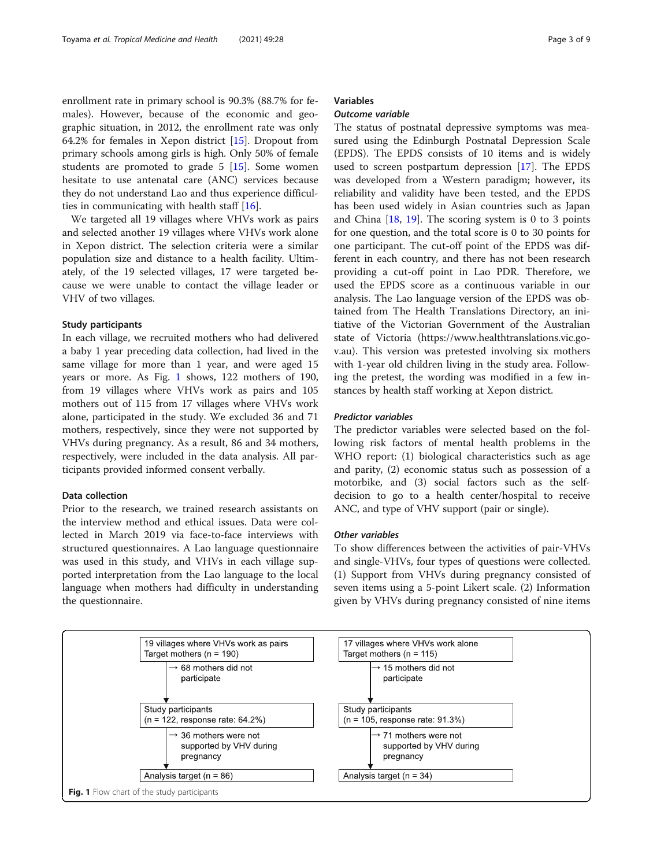enrollment rate in primary school is 90.3% (88.7% for females). However, because of the economic and geographic situation, in 2012, the enrollment rate was only 64.2% for females in Xepon district [[15\]](#page-8-0). Dropout from primary schools among girls is high. Only 50% of female students are promoted to grade 5 [[15](#page-8-0)]. Some women hesitate to use antenatal care (ANC) services because they do not understand Lao and thus experience difficulties in communicating with health staff [\[16](#page-8-0)].

We targeted all 19 villages where VHVs work as pairs and selected another 19 villages where VHVs work alone in Xepon district. The selection criteria were a similar population size and distance to a health facility. Ultimately, of the 19 selected villages, 17 were targeted because we were unable to contact the village leader or VHV of two villages.

### Study participants

In each village, we recruited mothers who had delivered a baby 1 year preceding data collection, had lived in the same village for more than 1 year, and were aged 15 years or more. As Fig. 1 shows, 122 mothers of 190, from 19 villages where VHVs work as pairs and 105 mothers out of 115 from 17 villages where VHVs work alone, participated in the study. We excluded 36 and 71 mothers, respectively, since they were not supported by VHVs during pregnancy. As a result, 86 and 34 mothers, respectively, were included in the data analysis. All participants provided informed consent verbally.

# Data collection

Prior to the research, we trained research assistants on the interview method and ethical issues. Data were collected in March 2019 via face-to-face interviews with structured questionnaires. A Lao language questionnaire was used in this study, and VHVs in each village supported interpretation from the Lao language to the local language when mothers had difficulty in understanding the questionnaire.

# Variables

## Outcome variable

The status of postnatal depressive symptoms was measured using the Edinburgh Postnatal Depression Scale (EPDS). The EPDS consists of 10 items and is widely used to screen postpartum depression [[17\]](#page-8-0). The EPDS was developed from a Western paradigm; however, its reliability and validity have been tested, and the EPDS has been used widely in Asian countries such as Japan and China [[18,](#page-8-0) [19](#page-8-0)]. The scoring system is 0 to 3 points for one question, and the total score is 0 to 30 points for one participant. The cut-off point of the EPDS was different in each country, and there has not been research providing a cut-off point in Lao PDR. Therefore, we used the EPDS score as a continuous variable in our analysis. The Lao language version of the EPDS was obtained from The Health Translations Directory, an initiative of the Victorian Government of the Australian state of Victoria (https://www.healthtranslations.vic.gov.au). This version was pretested involving six mothers with 1-year old children living in the study area. Following the pretest, the wording was modified in a few instances by health staff working at Xepon district.

### Predictor variables

The predictor variables were selected based on the following risk factors of mental health problems in the WHO report: (1) biological characteristics such as age and parity, (2) economic status such as possession of a motorbike, and (3) social factors such as the selfdecision to go to a health center/hospital to receive ANC, and type of VHV support (pair or single).

### Other variables

To show differences between the activities of pair-VHVs and single-VHVs, four types of questions were collected. (1) Support from VHVs during pregnancy consisted of seven items using a 5-point Likert scale. (2) Information given by VHVs during pregnancy consisted of nine items

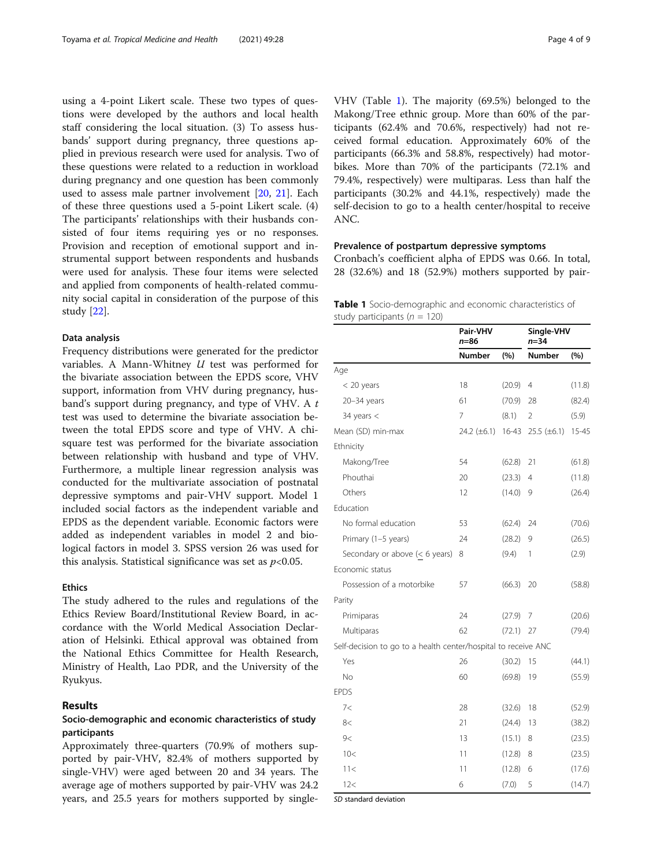using a 4-point Likert scale. These two types of questions were developed by the authors and local health staff considering the local situation. (3) To assess husbands' support during pregnancy, three questions applied in previous research were used for analysis. Two of these questions were related to a reduction in workload during pregnancy and one question has been commonly used to assess male partner involvement [[20](#page-8-0), [21](#page-8-0)]. Each of these three questions used a 5-point Likert scale. (4) The participants' relationships with their husbands consisted of four items requiring yes or no responses. Provision and reception of emotional support and instrumental support between respondents and husbands were used for analysis. These four items were selected and applied from components of health-related community social capital in consideration of the purpose of this study [[22\]](#page-8-0).

### Data analysis

Frequency distributions were generated for the predictor variables. A Mann-Whitney U test was performed for the bivariate association between the EPDS score, VHV support, information from VHV during pregnancy, husband's support during pregnancy, and type of VHV. A t test was used to determine the bivariate association between the total EPDS score and type of VHV. A chisquare test was performed for the bivariate association between relationship with husband and type of VHV. Furthermore, a multiple linear regression analysis was conducted for the multivariate association of postnatal depressive symptoms and pair-VHV support. Model 1 included social factors as the independent variable and EPDS as the dependent variable. Economic factors were added as independent variables in model 2 and biological factors in model 3. SPSS version 26 was used for this analysis. Statistical significance was set as  $p<0.05$ .

### Ethics

The study adhered to the rules and regulations of the Ethics Review Board/Institutional Review Board, in accordance with the World Medical Association Declaration of Helsinki. Ethical approval was obtained from the National Ethics Committee for Health Research, Ministry of Health, Lao PDR, and the University of the Ryukyus.

# Results

# Socio-demographic and economic characteristics of study participants

Approximately three-quarters (70.9% of mothers supported by pair-VHV, 82.4% of mothers supported by single-VHV) were aged between 20 and 34 years. The average age of mothers supported by pair-VHV was 24.2 years, and 25.5 years for mothers supported by single-

VHV (Table 1). The majority (69.5%) belonged to the Makong/Tree ethnic group. More than 60% of the participants (62.4% and 70.6%, respectively) had not received formal education. Approximately 60% of the participants (66.3% and 58.8%, respectively) had motorbikes. More than 70% of the participants (72.1% and 79.4%, respectively) were multiparas. Less than half the participants (30.2% and 44.1%, respectively) made the self-decision to go to a health center/hospital to receive ANC.

### Prevalence of postpartum depressive symptoms

Cronbach's coefficient alpha of EPDS was 0.66. In total, 28 (32.6%) and 18 (52.9%) mothers supported by pair-

Table 1 Socio-demographic and economic characteristics of study participants ( $n = 120$ )

|                                                                | Pair-VHV<br>$n = 86$ |           | Single-VHV<br>$n = 34$ |           |  |
|----------------------------------------------------------------|----------------------|-----------|------------------------|-----------|--|
|                                                                | <b>Number</b><br>(%) |           | Number                 | (%)       |  |
| Age                                                            |                      |           |                        |           |  |
| $<$ 20 years                                                   | 18                   | (20.9)    | 4                      | (11.8)    |  |
| $20 - 34$ years                                                | 61                   | (70.9)    | 28                     | (82.4)    |  |
| 34 years $<$                                                   | 7                    | (8.1)     | 2                      | (5.9)     |  |
| Mean (SD) min-max                                              | 24.2 $(\pm 6.1)$     | $16 - 43$ | 25.5 $(\pm 6.1)$       | $15 - 45$ |  |
| Ethnicity                                                      |                      |           |                        |           |  |
| Makong/Tree                                                    | 54                   | (62.8)    | 21                     | (61.8)    |  |
| Phouthai                                                       | 20                   | (23.3)    | 4                      | (11.8)    |  |
| Others                                                         | 12                   | (14.0)    | 9                      | (26.4)    |  |
| Education                                                      |                      |           |                        |           |  |
| No formal education                                            | 53                   | (62.4)    | 24                     | (70.6)    |  |
| Primary (1-5 years)                                            | 24                   | (28.2)    | 9                      | (26.5)    |  |
| Secondary or above $(< 6$ years)                               | 8                    | (9.4)     | 1                      | (2.9)     |  |
| Economic status                                                |                      |           |                        |           |  |
| Possession of a motorbike                                      | 57                   | (66.3)    | 20                     | (58.8)    |  |
| Parity                                                         |                      |           |                        |           |  |
| Primiparas                                                     | 24                   | (27.9)    | 7                      | (20.6)    |  |
| Multiparas                                                     | 62                   | (72.1)    | 27                     | (79.4)    |  |
| Self-decision to go to a health center/hospital to receive ANC |                      |           |                        |           |  |
| Yes                                                            | 26                   | (30.2)    | 15                     | (44.1)    |  |
| No                                                             | 60                   | (69.8)    | 19                     | (55.9)    |  |
| <b>EPDS</b>                                                    |                      |           |                        |           |  |
| 7<                                                             | 28                   | (32.6)    | 18                     | (52.9)    |  |
| 8<                                                             | 21                   | (24.4)    | 13                     | (38.2)    |  |
| 9<                                                             | 13                   | (15.1)    | 8                      | (23.5)    |  |
| 10<                                                            | 11                   | (12.8)    | 8                      | (23.5)    |  |
| 11<                                                            | 11                   | (12.8)    | 6                      | (17.6)    |  |
| 12<                                                            | 6                    | (7.0)     | 5                      | (14.7)    |  |

SD standard deviation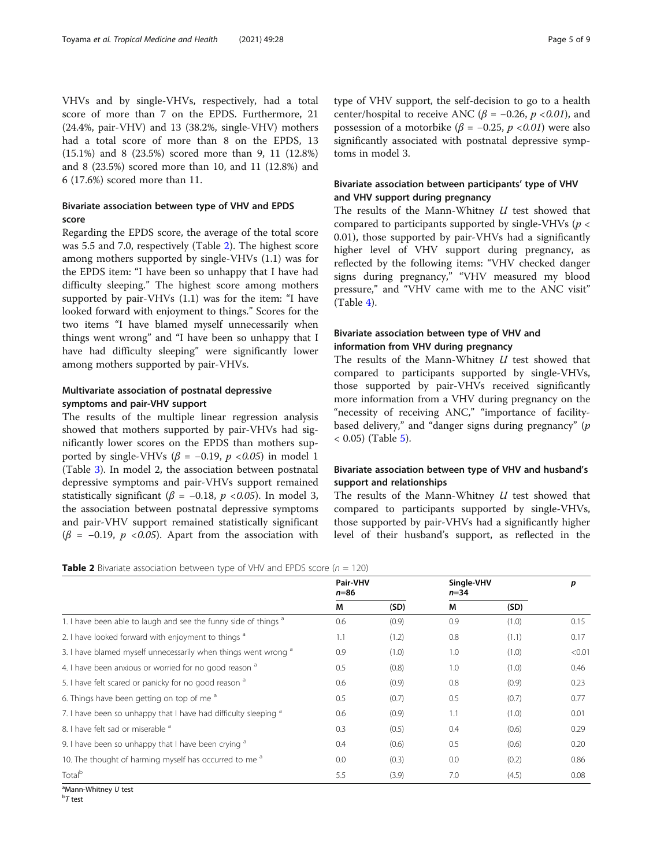VHVs and by single-VHVs, respectively, had a total score of more than 7 on the EPDS. Furthermore, 21 (24.4%, pair-VHV) and 13 (38.2%, single-VHV) mothers had a total score of more than 8 on the EPDS, 13 (15.1%) and 8 (23.5%) scored more than 9, 11 (12.8%) and 8 (23.5%) scored more than 10, and 11 (12.8%) and 6 (17.6%) scored more than 11.

# Bivariate association between type of VHV and EPDS score

Regarding the EPDS score, the average of the total score was 5.5 and 7.0, respectively (Table 2). The highest score among mothers supported by single-VHVs (1.1) was for the EPDS item: "I have been so unhappy that I have had difficulty sleeping." The highest score among mothers supported by pair-VHVs (1.1) was for the item: "I have looked forward with enjoyment to things." Scores for the two items "I have blamed myself unnecessarily when things went wrong" and "I have been so unhappy that I have had difficulty sleeping" were significantly lower among mothers supported by pair-VHVs.

# Multivariate association of postnatal depressive symptoms and pair-VHV support

The results of the multiple linear regression analysis showed that mothers supported by pair-VHVs had significantly lower scores on the EPDS than mothers supported by single-VHVs ( $\beta$  = -0.19,  $p$  <0.05) in model 1 (Table [3](#page-5-0)). In model 2, the association between postnatal depressive symptoms and pair-VHVs support remained statistically significant ( $\beta$  = -0.18,  $p$  <0.05). In model 3, the association between postnatal depressive symptoms and pair-VHV support remained statistically significant  $(\beta = -0.19, p \le 0.05)$ . Apart from the association with

type of VHV support, the self-decision to go to a health center/hospital to receive ANC ( $\beta$  = -0.26, p <0.01), and possession of a motorbike ( $\beta$  = -0.25, p <0.01) were also significantly associated with postnatal depressive symptoms in model 3.

# Bivariate association between participants' type of VHV and VHV support during pregnancy

The results of the Mann-Whitney  $U$  test showed that compared to participants supported by single-VHVs ( $p <$ 0.01), those supported by pair-VHVs had a significantly higher level of VHV support during pregnancy, as reflected by the following items: "VHV checked danger signs during pregnancy," "VHV measured my blood pressure," and "VHV came with me to the ANC visit" (Table [4\)](#page-5-0).

# Bivariate association between type of VHV and information from VHV during pregnancy

The results of the Mann-Whitney *U* test showed that compared to participants supported by single-VHVs, those supported by pair-VHVs received significantly more information from a VHV during pregnancy on the "necessity of receiving ANC," "importance of facilitybased delivery," and "danger signs during pregnancy"  $(p)$  $( 0.05)$  $( 0.05)$  (Table 5).

# Bivariate association between type of VHV and husband's support and relationships

The results of the Mann-Whitney  $U$  test showed that compared to participants supported by single-VHVs, those supported by pair-VHVs had a significantly higher level of their husband's support, as reflected in the

**Table 2** Bivariate association between type of VHV and EPDS score ( $n = 120$ )

|                                                                            | Pair-VHV<br>$n=86$ |       | Single-VHV<br>$n = 34$ |       | p      |
|----------------------------------------------------------------------------|--------------------|-------|------------------------|-------|--------|
|                                                                            | M                  | (SD)  | М                      | (SD)  |        |
| 1. I have been able to laugh and see the funny side of things a            | 0.6                | (0.9) | 0.9                    | (1.0) | 0.15   |
| 2. I have looked forward with enjoyment to things <sup>a</sup>             | 1.1                | (1.2) | 0.8                    | (1.1) | 0.17   |
| 3. I have blamed myself unnecessarily when things went wrong a             | 0.9                | (1.0) | 1.0                    | (1.0) | < 0.01 |
| 4. I have been anxious or worried for no good reason a                     | 0.5                | (0.8) | 1.0                    | (1.0) | 0.46   |
| 5. I have felt scared or panicky for no good reason a                      | 0.6                | (0.9) | 0.8                    | (0.9) | 0.23   |
| 6. Things have been getting on top of me <sup>a</sup>                      | 0.5                | (0.7) | 0.5                    | (0.7) | 0.77   |
| 7. I have been so unhappy that I have had difficulty sleeping <sup>a</sup> | 0.6                | (0.9) | 1.1                    | (1.0) | 0.01   |
| 8. I have felt sad or miserable a                                          | 0.3                | (0.5) | 0.4                    | (0.6) | 0.29   |
| 9. I have been so unhappy that I have been crying <sup>a</sup>             | 0.4                | (0.6) | 0.5                    | (0.6) | 0.20   |
| 10. The thought of harming myself has occurred to me <sup>a</sup>          | 0.0                | (0.3) | 0.0                    | (0.2) | 0.86   |
| Total <sup>b</sup>                                                         | 5.5                | (3.9) | 7.0                    | (4.5) | 0.08   |

<sup>a</sup>Mann-Whitney *U* test<br><sup>b</sup>T test  $^{\rm b}7$  test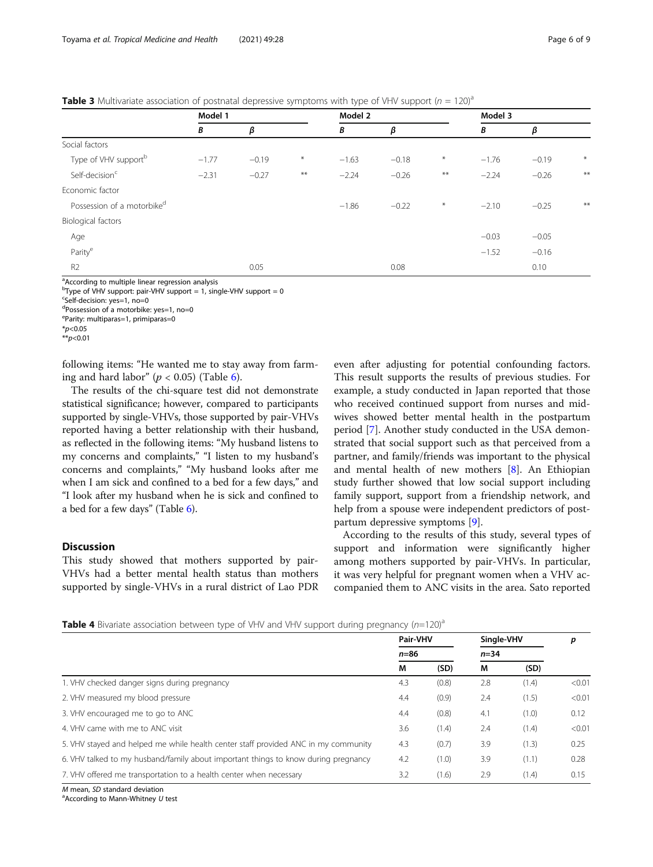<span id="page-5-0"></span>**Table 3** Multivariate association of postnatal depressive symptoms with type of VHV support ( $n = 120^{\circ}$ )

|                                        | Model 1 |         | Model 2 |         |         |              | Model 3 |         |        |
|----------------------------------------|---------|---------|---------|---------|---------|--------------|---------|---------|--------|
|                                        | B       | β       |         | В       | β       |              | В       | β       |        |
| Social factors                         |         |         |         |         |         |              |         |         |        |
| Type of VHV support <sup>b</sup>       | $-1.77$ | $-0.19$ | $\ast$  | $-1.63$ | $-0.18$ | $\ast$       | $-1.76$ | $-0.19$ | $\ast$ |
| Self-decision <sup>c</sup>             | $-2.31$ | $-0.27$ | $***$   | $-2.24$ | $-0.26$ | $\star\star$ | $-2.24$ | $-0.26$ | $***$  |
| Economic factor                        |         |         |         |         |         |              |         |         |        |
| Possession of a motorbike <sup>d</sup> |         |         |         | $-1.86$ | $-0.22$ | $\ast$       | $-2.10$ | $-0.25$ | $**$   |
| Biological factors                     |         |         |         |         |         |              |         |         |        |
| Age                                    |         |         |         |         |         |              | $-0.03$ | $-0.05$ |        |
| Parity <sup>e</sup>                    |         |         |         |         |         |              | $-1.52$ | $-0.16$ |        |
| R <sub>2</sub>                         |         | 0.05    |         |         | 0.08    |              |         | 0.10    |        |

<sup>a</sup>According to multiple linear regression analysis

<sup>b</sup>Type of VHV support: pair-VHV support = 1, single-VHV support = 0

<sup>c</sup>Self-decision: yes=1, no=0

d Possession of a motorbike: yes=1, no=0

e Parity: multiparas=1, primiparas=0

 $*$ <sub>p</sub> $< 0.01$ 

following items: "He wanted me to stay away from farming and hard labor" ( $p < 0.05$ ) (Table [6\)](#page-6-0).

The results of the chi-square test did not demonstrate statistical significance; however, compared to participants supported by single-VHVs, those supported by pair-VHVs reported having a better relationship with their husband, as reflected in the following items: "My husband listens to my concerns and complaints," "I listen to my husband's concerns and complaints," "My husband looks after me when I am sick and confined to a bed for a few days," and "I look after my husband when he is sick and confined to a bed for a few days" (Table [6\)](#page-6-0).

### Discussion

This study showed that mothers supported by pair-VHVs had a better mental health status than mothers supported by single-VHVs in a rural district of Lao PDR

even after adjusting for potential confounding factors. This result supports the results of previous studies. For example, a study conducted in Japan reported that those who received continued support from nurses and midwives showed better mental health in the postpartum period [\[7\]](#page-8-0). Another study conducted in the USA demonstrated that social support such as that perceived from a partner, and family/friends was important to the physical and mental health of new mothers [\[8](#page-8-0)]. An Ethiopian study further showed that low social support including family support, support from a friendship network, and help from a spouse were independent predictors of postpartum depressive symptoms [\[9](#page-8-0)].

According to the results of this study, several types of support and information were significantly higher among mothers supported by pair-VHVs. In particular, it was very helpful for pregnant women when a VHV accompanied them to ANC visits in the area. Sato reported

**Table 4** Bivariate association between type of VHV and VHV support during pregnancy  $(n=120)^{a}$ 

|                                                                                    | Pair-VHV |       |        | Single-VHV |        |
|------------------------------------------------------------------------------------|----------|-------|--------|------------|--------|
|                                                                                    | $n=86$   |       | $n=34$ |            |        |
|                                                                                    | М        | (SD)  | М      | (SD)       |        |
| 1. VHV checked danger signs during pregnancy                                       | 4.3      | (0.8) | 2.8    | (1.4)      | < 0.01 |
| 2. VHV measured my blood pressure                                                  | 4.4      | (0.9) | 2.4    | (1.5)      | < 0.01 |
| 3. VHV encouraged me to go to ANC                                                  | 4.4      | (0.8) | 4.1    | (1.0)      | 0.12   |
| 4. VHV came with me to ANC visit                                                   | 3.6      | (1.4) | 2.4    | (1.4)      | < 0.01 |
| 5. VHV stayed and helped me while health center staff provided ANC in my community | 4.3      | (0.7) | 3.9    | (1.3)      | 0.25   |
| 6. VHV talked to my husband/family about important things to know during pregnancy | 4.2      | (1.0) | 3.9    | (1.1)      | 0.28   |
| 7. VHV offered me transportation to a health center when necessary                 | 3.2      | (1.6) | 2.9    | (1.4)      | 0.15   |

 $M$  mean,  $SD$  standard deviation

 $^{\circ}$ According to Mann-Whitney U test

 $*_{p<0.05}$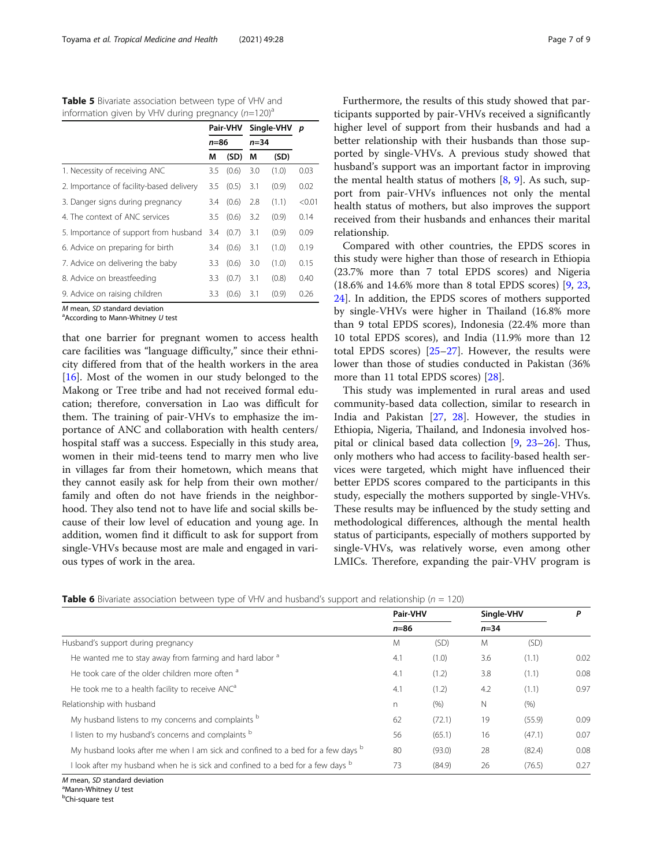<span id="page-6-0"></span>Table 5 Bivariate association between type of VHV and information given by VHV during pregnancy  $(n=120)^{a}$ 

|                                          |          | Pair-VHV | Single-VHV | p     |        |
|------------------------------------------|----------|----------|------------|-------|--------|
|                                          | $n = 86$ |          | $n = 34$   |       |        |
|                                          | М        | (SD)     | M          | (SD)  |        |
| 1. Necessity of receiving ANC            | 3.5      | (0.6)    | 3.0        | (1.0) | 0.03   |
| 2. Importance of facility-based delivery | 3.5      | (0.5)    | 3.1        | (0.9) | 0.02   |
| 3. Danger signs during pregnancy         | 3.4      | (0.6)    | 2.8        | (1.1) | < 0.01 |
| 4. The context of ANC services           | 3.5      | (0.6)    | 3.2        | (0.9) | 0.14   |
| 5. Importance of support from husband    | 3.4      | (0.7)    | 3.1        | (0.9) | 0.09   |
| 6. Advice on preparing for birth         | 3.4      | (0.6)    | 3.1        | (1.0) | 0.19   |
| 7. Advice on delivering the baby         | 3.3      | (0.6)    | 3.0        | (1.0) | 0.15   |
| 8. Advice on breastfeeding               | 3.3      | (0.7)    | 3.1        | (0.8) | 0.40   |
| 9. Advice on raising children            | 3.3      | (0.6)    | 3.1        | (0.9) | 0.26   |

 $M$  mean, SD standard deviation

 $a$ According to Mann-Whitney  $U$  test

that one barrier for pregnant women to access health care facilities was "language difficulty," since their ethnicity differed from that of the health workers in the area [[16\]](#page-8-0). Most of the women in our study belonged to the Makong or Tree tribe and had not received formal education; therefore, conversation in Lao was difficult for them. The training of pair-VHVs to emphasize the importance of ANC and collaboration with health centers/ hospital staff was a success. Especially in this study area, women in their mid-teens tend to marry men who live in villages far from their hometown, which means that they cannot easily ask for help from their own mother/ family and often do not have friends in the neighborhood. They also tend not to have life and social skills because of their low level of education and young age. In addition, women find it difficult to ask for support from single-VHVs because most are male and engaged in various types of work in the area.

Furthermore, the results of this study showed that participants supported by pair-VHVs received a significantly higher level of support from their husbands and had a better relationship with their husbands than those supported by single-VHVs. A previous study showed that husband's support was an important factor in improving the mental health status of mothers  $[8, 9]$  $[8, 9]$  $[8, 9]$  $[8, 9]$ . As such, support from pair-VHVs influences not only the mental health status of mothers, but also improves the support received from their husbands and enhances their marital relationship.

Compared with other countries, the EPDS scores in this study were higher than those of research in Ethiopia (23.7% more than 7 total EPDS scores) and Nigeria (18.6% and 14.6% more than 8 total EPDS scores) [\[9](#page-8-0), [23](#page-8-0), [24\]](#page-8-0). In addition, the EPDS scores of mothers supported by single-VHVs were higher in Thailand (16.8% more than 9 total EPDS scores), Indonesia (22.4% more than 10 total EPDS scores), and India (11.9% more than 12 total EPDS scores) [[25](#page-8-0)–[27](#page-8-0)]. However, the results were lower than those of studies conducted in Pakistan (36% more than 11 total EPDS scores) [[28\]](#page-8-0).

This study was implemented in rural areas and used community-based data collection, similar to research in India and Pakistan [\[27,](#page-8-0) [28\]](#page-8-0). However, the studies in Ethiopia, Nigeria, Thailand, and Indonesia involved hospital or clinical based data collection [[9,](#page-8-0) [23](#page-8-0)–[26\]](#page-8-0). Thus, only mothers who had access to facility-based health services were targeted, which might have influenced their better EPDS scores compared to the participants in this study, especially the mothers supported by single-VHVs. These results may be influenced by the study setting and methodological differences, although the mental health status of participants, especially of mothers supported by single-VHVs, was relatively worse, even among other LMICs. Therefore, expanding the pair-VHV program is

|                                                                                         | Pair-VHV     |        |        | Single-VHV |      |
|-----------------------------------------------------------------------------------------|--------------|--------|--------|------------|------|
|                                                                                         | $n=86$       |        | $n=34$ |            |      |
| Husband's support during pregnancy                                                      | M            | (SD)   | M      | (SD)       |      |
| He wanted me to stay away from farming and hard labor <sup>a</sup>                      | 4.1          | (1.0)  | 3.6    | (1.1)      | 0.02 |
| He took care of the older children more often <sup>a</sup>                              | 4.1          | (1.2)  | 3.8    | (1.1)      | 0.08 |
| He took me to a health facility to receive ANC <sup>a</sup>                             | 4.1          | (1.2)  | 4.2    | (1.1)      | 0.97 |
| Relationship with husband                                                               | $\mathsf{n}$ | (9/6)  | N      | (% )       |      |
| My husband listens to my concerns and complaints b                                      | 62           | (72.1) | 19     | (55.9)     | 0.09 |
| I listen to my husband's concerns and complaints b                                      | 56           | (65.1) | 16     | (47.1)     | 0.07 |
| My husband looks after me when I am sick and confined to a bed for a few days b         | 80           | (93.0) | 28     | (82.4)     | 0.08 |
| look after my husband when he is sick and confined to a bed for a few days <sup>b</sup> | 73           | (84.9) | 26     | (76.5)     | 0.27 |

 $M$  mean, SD standard deviation

 $^a$ Mann-Whitney U test Chi-square test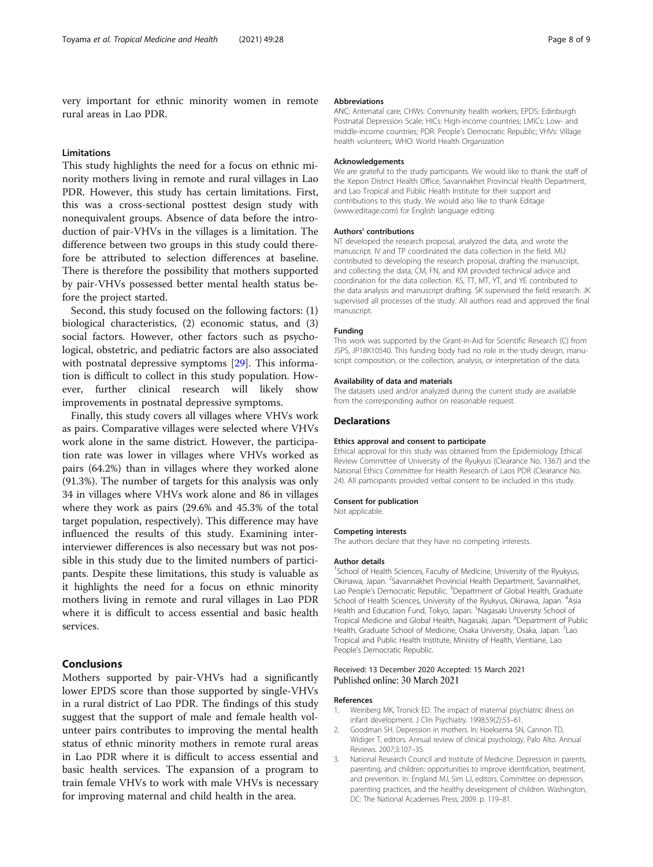<span id="page-7-0"></span>very important for ethnic minority women in remote rural areas in Lao PDR.

#### Limitations

This study highlights the need for a focus on ethnic minority mothers living in remote and rural villages in Lao PDR. However, this study has certain limitations. First, this was a cross-sectional posttest design study with nonequivalent groups. Absence of data before the introduction of pair-VHVs in the villages is a limitation. The difference between two groups in this study could therefore be attributed to selection differences at baseline. There is therefore the possibility that mothers supported by pair-VHVs possessed better mental health status before the project started.

Second, this study focused on the following factors: (1) biological characteristics, (2) economic status, and (3) social factors. However, other factors such as psychological, obstetric, and pediatric factors are also associated with postnatal depressive symptoms [[29\]](#page-8-0). This information is difficult to collect in this study population. However, further clinical research will likely show improvements in postnatal depressive symptoms.

Finally, this study covers all villages where VHVs work as pairs. Comparative villages were selected where VHVs work alone in the same district. However, the participation rate was lower in villages where VHVs worked as pairs (64.2%) than in villages where they worked alone (91.3%). The number of targets for this analysis was only 34 in villages where VHVs work alone and 86 in villages where they work as pairs (29.6% and 45.3% of the total target population, respectively). This difference may have influenced the results of this study. Examining interinterviewer differences is also necessary but was not possible in this study due to the limited numbers of participants. Despite these limitations, this study is valuable as it highlights the need for a focus on ethnic minority mothers living in remote and rural villages in Lao PDR where it is difficult to access essential and basic health services.

### Conclusions

Mothers supported by pair-VHVs had a significantly lower EPDS score than those supported by single-VHVs in a rural district of Lao PDR. The findings of this study suggest that the support of male and female health volunteer pairs contributes to improving the mental health status of ethnic minority mothers in remote rural areas in Lao PDR where it is difficult to access essential and basic health services. The expansion of a program to train female VHVs to work with male VHVs is necessary for improving maternal and child health in the area.

#### Abbreviations

ANC: Antenatal care; CHWs: Community health workers; EPDS: Edinburgh Postnatal Depression Scale; HICs: High-income countries; LMICs: Low- and middle-income countries; PDR: People's Democratic Republic; VHVs: Village health volunteers; WHO: World Health Organization

#### Acknowledgements

We are grateful to the study participants. We would like to thank the staff of the Xepon District Health Office, Savannakhet Provincial Health Department, and Lao Tropical and Public Health Institute for their support and contributions to this study. We would also like to thank Editage (www.editage.com) for English language editing.

#### Authors' contributions

NT developed the research proposal, analyzed the data, and wrote the manuscript. IV and TP coordinated the data collection in the field. MU contributed to developing the research proposal, drafting the manuscript, and collecting the data; CM, FN, and KM provided technical advice and coordination for the data collection. KS, TT, MT, YT, and YE contributed to the data analysis and manuscript drafting. SK supervised the field research. JK supervised all processes of the study. All authors read and approved the final manuscript.

#### Funding

This work was supported by the Grant-in-Aid for Scientific Research (C) from JSPS, JP18K10540. This funding body had no role in the study design, manuscript composition, or the collection, analysis, or interpretation of the data.

#### Availability of data and materials

The datasets used and/or analyzed during the current study are available from the corresponding author on reasonable request.

#### **Declarations**

#### Ethics approval and consent to participate

Ethical approval for this study was obtained from the Epidemiology Ethical Review Committee of University of the Ryukyus (Clearance No. 1367) and the National Ethics Committee for Health Research of Laos PDR (Clearance No. 24). All participants provided verbal consent to be included in this study.

#### Consent for publication

Not applicable

#### Competing interests

The authors declare that they have no competing interests.

#### Author details

<sup>1</sup>School of Health Sciences, Faculty of Medicine, University of the Ryukyus, Okinawa, Japan. <sup>2</sup>Savannakhet Provincial Health Department, Savannakhet Lao People's Democratic Republic. <sup>3</sup>Department of Global Health, Graduate School of Health Sciences, University of the Ryukyus, Okinawa, Japan. <sup>4</sup>Asia Health and Education Fund, Tokyo, Japan. <sup>5</sup>Nagasaki University School of Tropical Medicine and Global Health, Nagasaki, Japan. <sup>6</sup>Department of Public Health, Graduate School of Medicine, Osaka University, Osaka, Japan. <sup>7</sup>Lac Tropical and Public Health Institute, Ministry of Health, Vientiane, Lao People's Democratic Republic.

### Received: 13 December 2020 Accepted: 15 March 2021 Published online: 30 March 2021

#### References

- 1. Weinberg MK, Tronick ED. The impact of maternal psychiatric illness on infant development. J Clin Psychiatry. 1998;59(2):53–61.
- 2. Goodman SH. Depression in mothers. In: Hoeksema SN, Cannon TD, Widiger T, editors. Annual review of clinical psychology, Palo Alto. Annual Reviews. 2007;3:107–35.
- 3. National Research Council and Institute of Medicine. Depression in parents, parenting, and children: opportunities to improve identification, treatment, and prevention. In: England MJ, Sim LJ, editors. Committee on depression, parenting practices, and the healthy development of children. Washington, DC: The National Academies Press; 2009. p. 119–81.